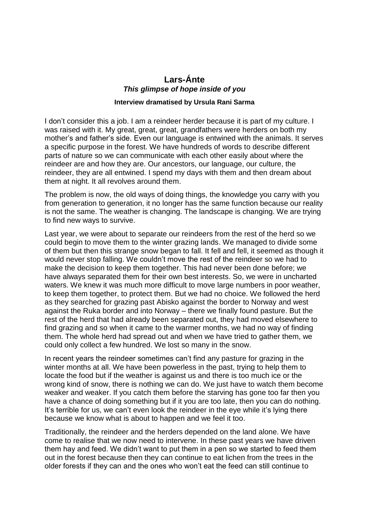## **Lars-Ánte** *This glimpse of hope inside of you*

## **Interview dramatised by Ursula Rani Sarma**

I don't consider this a job. I am a reindeer herder because it is part of my culture. I was raised with it. My great, great, great, grandfathers were herders on both my mother's and father's side. Even our language is entwined with the animals. It serves a specific purpose in the forest. We have hundreds of words to describe different parts of nature so we can communicate with each other easily about where the reindeer are and how they are. Our ancestors, our language, our culture, the reindeer, they are all entwined. I spend my days with them and then dream about them at night. It all revolves around them.

The problem is now, the old ways of doing things, the knowledge you carry with you from generation to generation, it no longer has the same function because our reality is not the same. The weather is changing. The landscape is changing. We are trying to find new ways to survive.

Last year, we were about to separate our reindeers from the rest of the herd so we could begin to move them to the winter grazing lands. We managed to divide some of them but then this strange snow began to fall. It fell and fell, it seemed as though it would never stop falling. We couldn't move the rest of the reindeer so we had to make the decision to keep them together. This had never been done before; we have always separated them for their own best interests. So, we were in uncharted waters. We knew it was much more difficult to move large numbers in poor weather, to keep them together, to protect them. But we had no choice. We followed the herd as they searched for grazing past Abisko against the border to Norway and west against the Ruka border and into Norway – there we finally found pasture. But the rest of the herd that had already been separated out, they had moved elsewhere to find grazing and so when it came to the warmer months, we had no way of finding them. The whole herd had spread out and when we have tried to gather them, we could only collect a few hundred. We lost so many in the snow.

In recent years the reindeer sometimes can't find any pasture for grazing in the winter months at all. We have been powerless in the past, trying to help them to locate the food but if the weather is against us and there is too much ice or the wrong kind of snow, there is nothing we can do. We just have to watch them become weaker and weaker. If you catch them before the starving has gone too far then you have a chance of doing something but if it you are too late, then you can do nothing. It's terrible for us, we can't even look the reindeer in the eye while it's lying there because we know what is about to happen and we feel it too.

Traditionally, the reindeer and the herders depended on the land alone. We have come to realise that we now need to intervene. In these past years we have driven them hay and feed. We didn't want to put them in a pen so we started to feed them out in the forest because then they can continue to eat lichen from the trees in the older forests if they can and the ones who won't eat the feed can still continue to